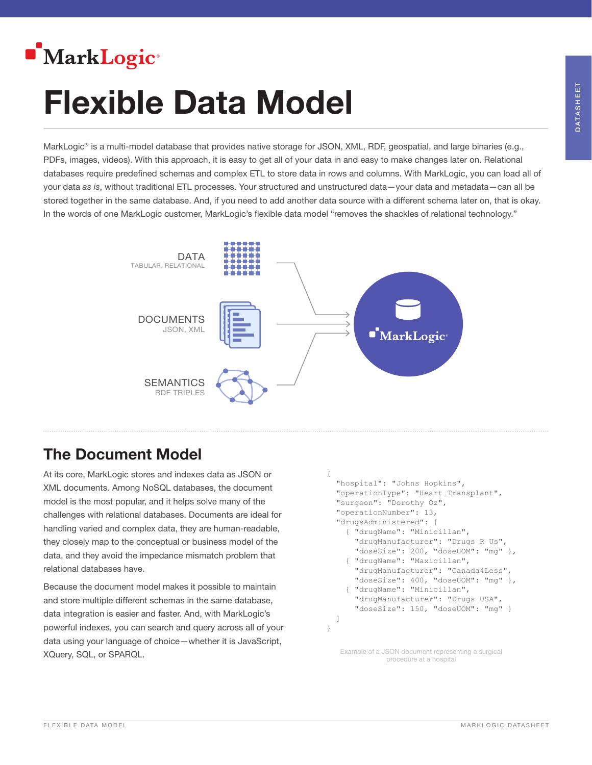

# Flexible Data Model

MarkLogic® is a multi-model database that provides native storage for JSON, XML, RDF, geospatial, and large binaries (e.g., PDFs, images, videos). With this approach, it is easy to get all of your data in and easy to make changes later on. Relational databases require predefined schemas and complex ETL to store data in rows and columns. With MarkLogic, you can load all of your data *as is*, without traditional ETL processes. Your structured and unstructured data—your data and metadata—can all be stored together in the same database. And, if you need to add another data source with a different schema later on, that is okay. In the words of one MarkLogic customer, MarkLogic's flexible data model "removes the shackles of relational technology."



# The Document Model

At its core, MarkLogic stores and indexes data as JSON or XML documents. Among NoSQL databases, the document model is the most popular, and it helps solve many of the challenges with relational databases. Documents are ideal for handling varied and complex data, they are human-readable, they closely map to the conceptual or business model of the data, and they avoid the impedance mismatch problem that relational databases have.

Because the document model makes it possible to maintain and store multiple different schemas in the same database, data integration is easier and faster. And, with MarkLogic's powerful indexes, you can search and query across all of your data using your language of choice—whether it is JavaScript, XQuery, SQL, or SPARQL.

```
{
   "hospital": "Johns Hopkins",
   "operationType": "Heart Transplant",
  "surgeon": "Dorothy Oz",
   "operationNumber": 13,
  "drugsAdministered": [
    { "drugName": "Minicillan", 
       "drugManufacturer": "Drugs R Us", 
      "doseSize": 200, "doseUOM": "mq" },
     { "drugName": "Maxicillan", 
       "drugManufacturer": "Canada4Less", 
      "doseSize": 400, "doseUOM": "mg" },
     { "drugName": "Minicillan", 
       "drugManufacturer": "Drugs USA", 
      "doseSize": 150, "doseUOM": "mq" }
   ]
}
```
Example of a JSON document representing a surgical procedure at a hospital